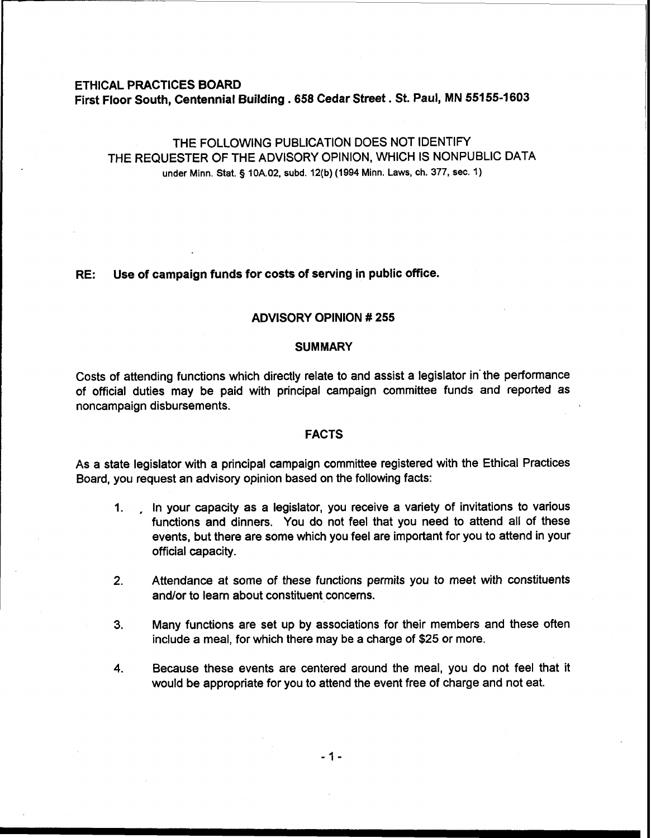# ETHICAL PRACTICES BOARD First Floor South, Centennial Building . **658** Cedar Street. St. Paul, MN **551 55-1 603**

# THE FOLLOWING PUBLICATION DOES NOT IDENTIFY THE REQUESTER OF THE ADVISORY OPINION, WHICH IS NONPUBLIC DATA under Minn. Stat. **g** 10A.02, subd. 12(b) (1994 Minn. Laws, ch. 377, sec. 1)

## RE: Use of campaign funds for costs of serving in public office.

## ADVISORY OPINION # 255

#### **SUMMARY**

Costs of attending functions which directly relate to and assist a legislator in'the performance of official duties may be paid with principal campaign committee funds and reported as noncampaign disbursements.

#### FACTS

As a state legislator with a principal campaign committee registered with the Ethical Practices Board, you request an advisory opinion based on the following facts:

- **1.** , In your capacity as a legislator, you receive a variety of invitations to various functions and dinners. You do not feel that you need to attend all of these events, but there are some which you feel are important for you to attend in your official capacity.
- **2.** Attendance at some of these functions permits you to meet with constituents and/or to learn about constituent concerns.
- **3.** Many functions are set up by associations for their members and these often include a meal, for which there may be a charge of \$25 or more.
- **4.** Because these events are centered around the meal, you do not feel that it would be appropriate for you to attend the event free of charge and not eat.

 $-1-$